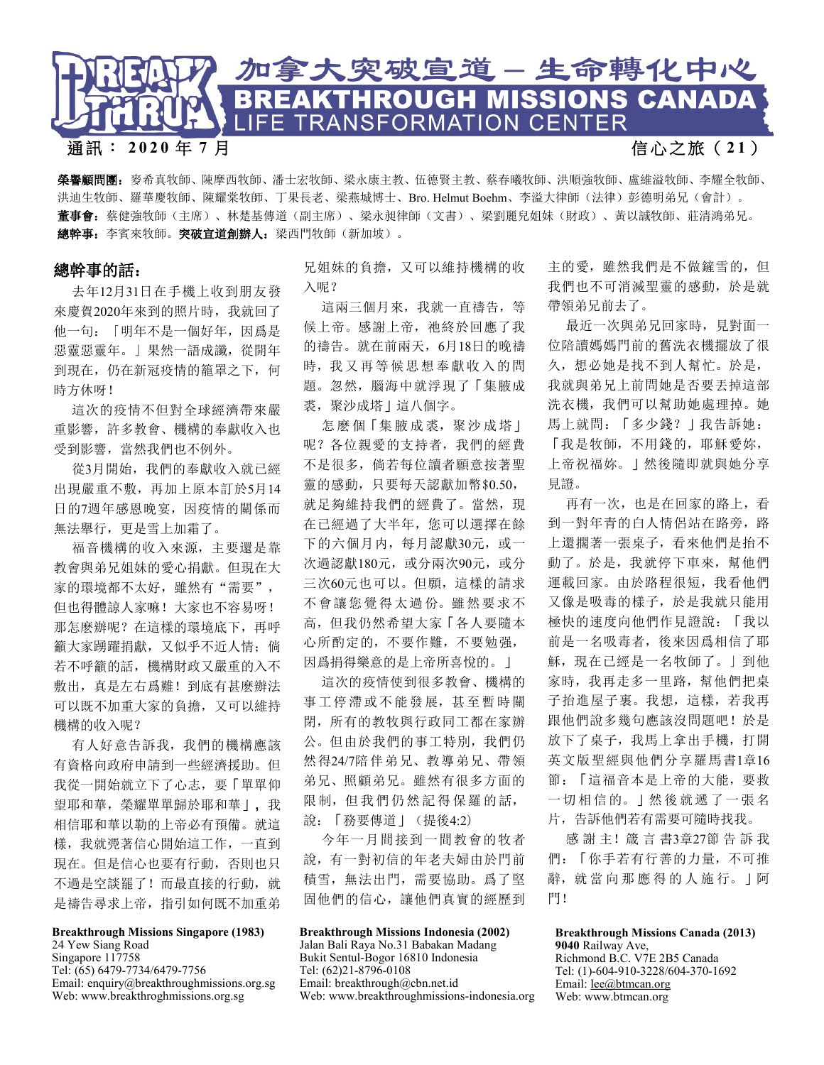

通訊: **2020** 年 **7** 月 信 心 之 旅 ( **2 1** )

榮譽顧問團:麥希真牧師、陳摩西牧師、潘士宏牧師、梁永康主教、伍德賢主教、蔡春曦牧師、洪順強牧師、盧維溢牧師、李耀全牧師、 洪迪生牧師、羅華慶牧師、陳耀棠牧師、丁果長老、梁燕城博士、Bro. Helmut Boehm、李溢大律師(法律)彭德明弟兄(會計)。 董事會:蔡健強牧師(主席)、林楚基傳道(副主席)、梁永昶律師(文書)、梁劉麗兒姐妹(財政)、黃以誠牧師、莊清鴻弟兄。 總幹事: 李賓來牧師。突破宣道創辦人: 梁西門牧師(新加坡)。

## 總幹事的話:

去年12月31日在手機上收到朋友發 來慶賀2020年來到的照片時,我就回了 他一句:「明年不是一個好年,因爲是 惡靈惡靈年。」果然一語成讖,從開年 到現在,仍在新冠疫情的籠罩之下,何 時方休呀!

這次的疫情不但對全球經濟帶來嚴 重影響,許多教會、機構的奉獻收入也 受到影響, 當然我們也不例外。

從3月開始,我們的奉獻收入就已經 出現嚴重不敷,再加上原本訂於5月14 日的7週年感恩晚宴,因疫情的關係而 無法舉行,更是雪上加霜了。

福音機構的收入來源,主要還是靠 教會與弟兄姐妹的愛心捐獻。但現在大 家的環境都不太好,雖然有"需要", 但也得體諒人家嘛!大家也不容易呀! 那怎麽辦呢?在這樣的環境底下,再呼 籲大家踴躍捐獻,又似乎不近人情; 倘 若不呼籲的話,機構財政又嚴重的入不 敷出,真是左右爲難!到底有甚麽辦法 可以既不加重大家的負擔,又可以維持 機構的收入呢?

有人好意告訴我,我們的機構應該 有資格向政府申請到一些經濟援助。但 我從一開始就立下了心志,要「單單仰 望耶和華, 榮耀單單歸於耶和華」, 我 相信耶和華以勒的上帝必有預備。就這 樣,我就凴著信心開始這工作,一直到 現在。但是信心也要有行動,否則也只 不過是空談罷了!而最直接的行動, 就 是禱告尋求上帝, 指引如何既不加重弟

## **Breakthrough Missions Singapore (1983)**  24 Yew Siang Road

Singapore 117758 Tel: (65) 6479-7734/6479-7756 Email: enquiry@breakthroughmissions.org.sg Web: www.breakthroghmissions.org.sg

兄姐妹的負擔,又可以維持機構的收 入呢?

這兩三個月來,我就一直禱告,等 候上帝。感謝上帝,祂終於回應了我 的禱告。就在前兩天,6月18日的晚禱 時,我又再等候思想奉獻收入的問 題。忽然,腦海中就浮現了「集腋成 裘,聚沙成塔」這八個字。

怎麼個「集腋成裘,聚沙成塔」 呢?各位親愛的支持者,我們的經費 不是很多,倘若每位讀者願意按著聖 靈的感動,只要每天認獻加幣\$0.50, 就足夠維持我們的經費了。當然,現 在已經過了大半年,您可以選擇在餘 下的六個月内,每月認獻30元,或一 次過認獻180元, 或分兩次90元, 或分 三次60元也可以。但願,這樣的請求 不會讓您覺得太過份。雖然要求不 高,但我仍然希望大家「各人要隨本 心所酌定的,不要作難,不要勉强, 因爲捐得樂意的是上帝所喜悅的。」

這次的疫情使到很多教會、機構的 事工停滯或不能發展,甚至暫時關 閉,所有的教牧與行政同工都在家辦 公。但由於我們的事工特別,我們仍 然得24/7陪伴弟兄、教導弟兄、帶領 弟兄、照顧弟兄。雖然有很多方面的 限制,但我們仍然記得保羅的話, 說:「務要傳道」(提後4:2)

今年一月間接到一間教會的牧者 說,有一對初信的年老夫婦由於門前 積雪,無法出門,需要協助。爲了堅 固他們的信心,讓他們真實的經歷到

## **Breakthrough Missions Indonesia (2002)**

Jalan Bali Raya No.31 Babakan Madang r Bukit Sentul-Bogor 16810 Indonesia Tel: (62)21-8796-0108 Email: breakthrough@cbn.net.id Web: www.breakthroughmissions-indonesia.org 主的愛,雖然我們是不做鏟雪的,但 我們也不可消滅聖靈的感動,於是就 帶領弟兄前去了。

最近一次與弟兄回家時,見對面一 位陪讀媽媽門前的舊洗衣機擺放了很 久,想必她是找不到人幫忙。於是, 我就與弟兄上前問她是否要丟掉這部 洗衣機,我們可以幫助她處理掉。她 馬上就問:「多少錢?」我告訴她: 「我是牧師,不用錢的,耶穌愛妳, 上帝祝福妳。」然後隨即就與她分享 見證。

再有一次,也是在回家的路上,看 到一對年青的白人情侶站在路旁,路 上還擱著一張桌子,看來他們是抬不 動了。於是,我就停下車來,幫他們 運載回家。由於路程很短,我看他們 又像是吸毒的樣子,於是我就只能用 極快的速度向他們作見證說:「我以 前是一名吸毒者,後來因爲相信了耶 穌,現在已經是一名牧師了。」到他 家時,我再走多一里路,幫他們把桌 子抬進屋子裏。我想,這樣,若我再 跟他們說多幾句應該沒問題吧!於是 放下了桌子,我馬上拿出手機,打開 英文版聖經與他們分享羅馬書1章16 節:「這福音本是上帝的大能,要救 一切相信的。」然後就遞 了一張名 片,告訴他們若有需要可隨時找我。

感 謝 主!箴 言 書3章27節告訴我 們:「你手若有行善的力量,不可推 辭,就 當 向 那 應 得 的 人 施 行。」阿 門!

## **Breakthrough Missions Canada (2013)**  9040 Railway Ave, Richmond B.C. V7E 2B5 Canada

Tel: (1)-604-910-3228/604-370-1692 Email: [lee@btmcan.org](mailto:lee@btmcan.org) Web: www.btmcan.org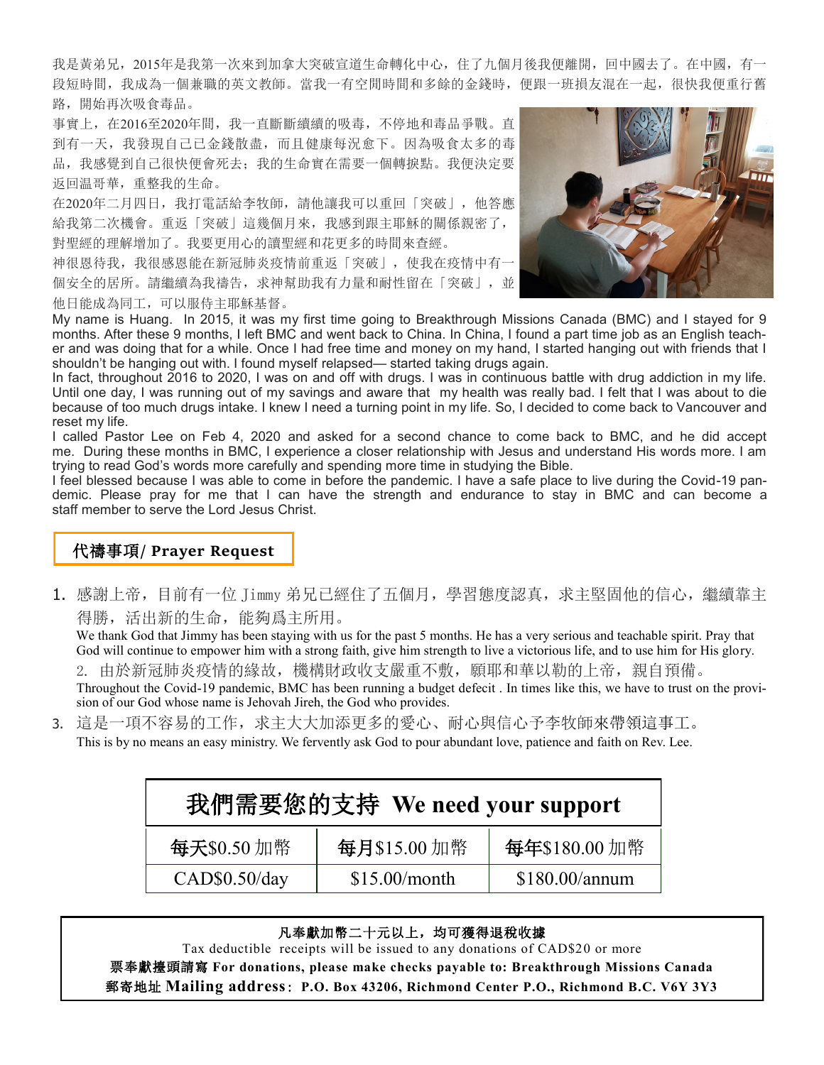我是黃弟兄,2015年是我第一次來到加拿大突破宣道生命轉化中心,住了九個月後我便離開,回中國去了。在中國,有一 段短時間,我成為一個兼職的英文教師。當我一有空閒時間和多餘的金錢時,便跟一班損友混在一起,很快我便重行舊 路,開始再次吸食毒品。

事實上,在2016至2020年間,我一直斷斷續續的吸毒,不停地和毒品爭戰。直 到有一天,我發現自己已金錢散盡,而且健康每況愈下。因為吸食太多的毒 品,我感覺到自己很快便會死去;我的生命實在需要一個轉捩點。我便決定要 返回温哥華,重整我的生命。

在2020年二月四日,我打電話給李牧師,請他讓我可以重回「突破」,他答應 給我第二次機會。重返「突破」這幾個月來,我感到跟主耶穌的關係親密了, 對聖經的理解增加了。我要更用心的讀聖經和花更多的時間來查經。

神很恩待我,我很感恩能在新冠肺炎疫情前重返「突破」,使我在疫情中有一 個安全的居所。請繼續為我禱告,求神幫助我有力量和耐性留在「突破」,並 他日能成為同工,可以服侍主耶穌基督。



My name is Huang. In 2015, it was my first time going to Breakthrough Missions Canada (BMC) and I stayed for 9 months. After these 9 months, I left BMC and went back to China. In China, I found a part time job as an English teacher and was doing that for a while. Once I had free time and money on my hand, I started hanging out with friends that I shouldn't be hanging out with. I found myself relapsed— started taking drugs again.

In fact, throughout 2016 to 2020, I was on and off with drugs. I was in continuous battle with drug addiction in my life. Until one day, I was running out of my savings and aware that my health was really bad. I felt that I was about to die because of too much drugs intake. I knew I need a turning point in my life. So, I decided to come back to Vancouver and reset my life.

I called Pastor Lee on Feb 4, 2020 and asked for a second chance to come back to BMC, and he did accept me. During these months in BMC, I experience a closer relationship with Jesus and understand His words more. I am trying to read God's words more carefully and spending more time in studying the Bible.

I feel blessed because I was able to come in before the pandemic. I have a safe place to live during the Covid-19 pandemic. Please pray for me that I can have the strength and endurance to stay in BMC and can become a staff member to serve the Lord Jesus Christ.

# 代禱事項**/ Prayer Request**

1. 感謝上帝,目前有一位 Jimmy 弟兄已經住了五個月,學習態度認真,求主堅固他的信心,繼續靠主 得勝,活出新的生命,能夠爲主所用。

 We thank God that Jimmy has been staying with us for the past 5 months. He has a very serious and teachable spirit. Pray that God will continue to empower him with a strong faith, give him strength to live a victorious life, and to use him for His glory.

2. 由於新冠肺炎疫情的緣故,機構財政收支嚴重不敷,願耶和華以勒的上帝,親自預備。

Throughout the Covid-19 pandemic, BMC has been running a budget defecit . In times like this, we have to trust on the provision of our God whose name is Jehovah Jireh, the God who provides.

3. 這是一項不容易的工作,求主大大加添更多的愛心、耐心與信心予李牧師來帶領這事工。 This is by no means an easy ministry. We fervently ask God to pour abundant love, patience and faith on Rev. Lee.

| 我們需要您的支持 We need your support |               |                |  |  |  |
|-------------------------------|---------------|----------------|--|--|--|
| 每天\$0.50加幣                    | 每月\$15.00加幣   | 每年\$180.00加幣   |  |  |  |
| CAD\$0.50/day                 | \$15.00/month | \$180.00/annum |  |  |  |

## 凡奉獻加幣二十元以上,均可獲得退稅收據

Tax deductible receipts will be issued to any donations of CAD\$20 or more 票奉獻擡頭請寫 **For donations, please make checks payable to: Breakthrough Missions Canada**  郵寄地址 **Mailing address**: **P.O. Box 43206, Richmond Center P.O., Richmond B.C. V6Y 3Y3**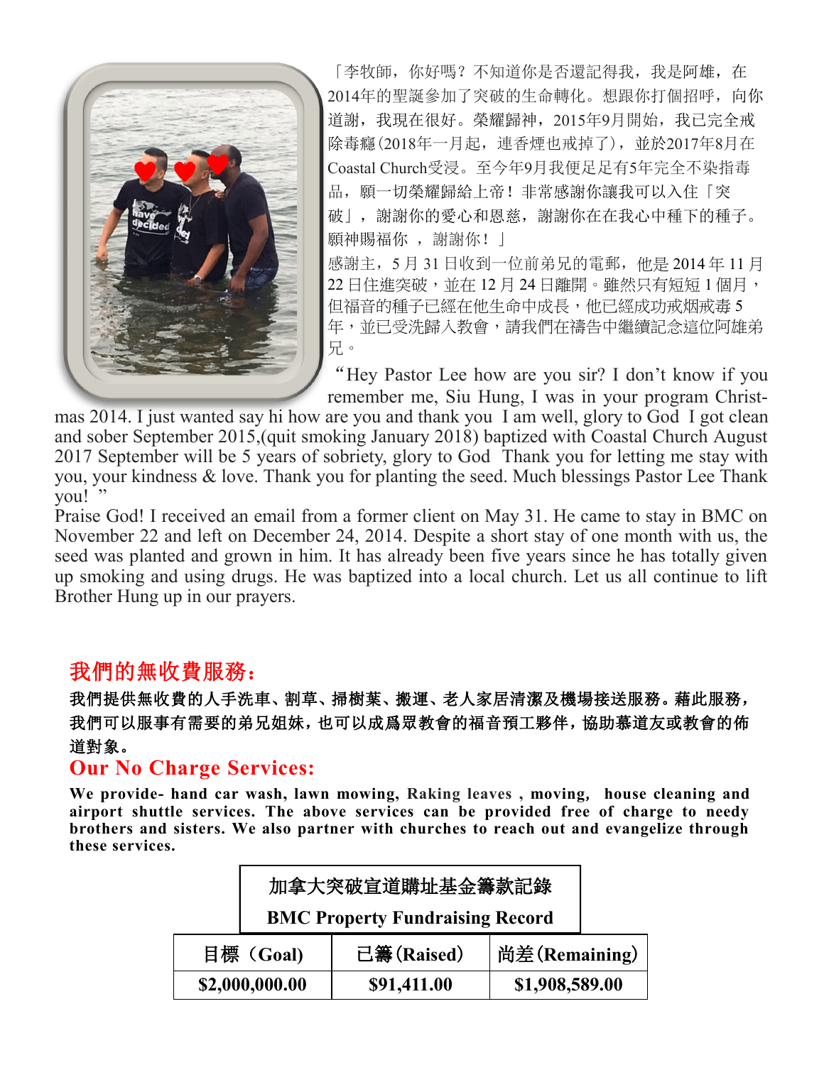

「李牧師,你好嗎?不知道你是否還記得我,我是阿雄,在 2014年的聖誕參加了突破的生命轉化。想跟你打個招呼,向你 道謝,我現在很好。榮耀歸神,2015年9月開始,我已完全戒 除毒癮(2018年一月起,連香煙也戒掉了),並於2017年8月在 Coastal Church受浸。至今年9月我便足足有5年完全不染指毒 品,願一切榮耀歸給上帝! 非常感謝你讓我可以入住「突 破」, 謝謝你的愛心和恩慈, 謝謝你在在我心中種下的種子。 願神賜福你 , 謝謝你! | 感謝主,5 月 31 日收到一位前弟兄的電郵,他是 2014 年 11 月 22 日住進突破,並在 12月 24 日離開。雖然只有短短 1 個月, 但福音的種子已經在他生命中成長,他已經成功戒烟戒毒 5

年,並已受洗歸入教會,請我們在禱告中繼續記念這位阿雄弟 兄。

"Hey Pastor Lee how are you sir? I don't know if you remember me, Siu Hung, I was in your program Christ-

mas 2014. I just wanted say hi how are you and thank you I am well, glory to God I got clean and sober September 2015,(quit smoking January 2018) baptized with Coastal Church August 2017 September will be 5 years of sobriety, glory to God Thank you for letting me stay with you, your kindness & love. Thank you for planting the seed. Much blessings Pastor Lee Thank vou!"

Praise God! I received an email from a former client on May 31. He came to stay in BMC on November 22 and left on December 24, 2014. Despite a short stay of one month with us, the seed was planted and grown in him. It has already been five years since he has totally given up smoking and using drugs. He was baptized into a local church. Let us all continue to lift Brother Hung up in our prayers.

# 我們的無收費服務:

我們提供無收費的人手洗車、割草、掃樹葉、搬運、老人家居清潔及機場接送服務。藉此服務, 我們可以服事有需要的弟兄姐妹,也可以成爲眾教會的福音預工夥伴,協助慕道友或教會的佈 道對象。

# **Our No Charge Services:**

**We provide- hand car wash, lawn mowing, Raking leaves , moving**, **house cleaning and airport shuttle services. The above services can be provided free of charge to needy brothers and sisters. We also partner with churches to reach out and evangelize through these services.** 

|                | 加拿大突破宣道購址基金籌款記錄                        |             |                |  |  |  |
|----------------|----------------------------------------|-------------|----------------|--|--|--|
|                | <b>BMC Property Fundraising Record</b> |             |                |  |  |  |
| 目標 (Goal)      |                                        | 已籌(Raised)  | 尚差(Remaining)  |  |  |  |
| \$2,000,000.00 |                                        | \$91,411.00 | \$1,908,589.00 |  |  |  |